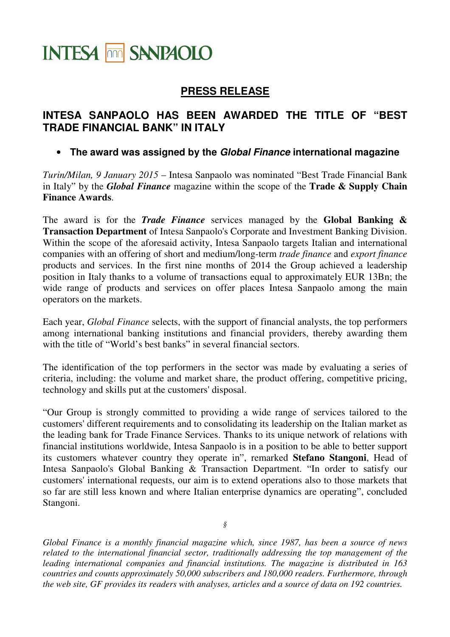## **INTESA THE SANPAOLO**

## **PRESS RELEASE**

## **INTESA SANPAOLO HAS BEEN AWARDED THE TITLE OF "BEST TRADE FINANCIAL BANK" IN ITALY**

## • **The award was assigned by the Global Finance international magazine**

*Turin/Milan, 9 January 2015* – Intesa Sanpaolo was nominated "Best Trade Financial Bank in Italy" by the *Global Finance* magazine within the scope of the **Trade & Supply Chain Finance Awards**.

The award is for the *Trade Finance* services managed by the **Global Banking & Transaction Department** of Intesa Sanpaolo's Corporate and Investment Banking Division. Within the scope of the aforesaid activity, Intesa Sanpaolo targets Italian and international companies with an offering of short and medium/long-term *trade finance* and *export finance* products and services. In the first nine months of 2014 the Group achieved a leadership position in Italy thanks to a volume of transactions equal to approximately EUR 13Bn; the wide range of products and services on offer places Intesa Sanpaolo among the main operators on the markets.

Each year, *Global Finance* selects, with the support of financial analysts, the top performers among international banking institutions and financial providers, thereby awarding them with the title of "World's best banks" in several financial sectors.

The identification of the top performers in the sector was made by evaluating a series of criteria, including: the volume and market share, the product offering, competitive pricing, technology and skills put at the customers' disposal.

"Our Group is strongly committed to providing a wide range of services tailored to the customers' different requirements and to consolidating its leadership on the Italian market as the leading bank for Trade Finance Services. Thanks to its unique network of relations with financial institutions worldwide, Intesa Sanpaolo is in a position to be able to better support its customers whatever country they operate in", remarked **Stefano Stangoni**, Head of Intesa Sanpaolo's Global Banking & Transaction Department. "In order to satisfy our customers' international requests, our aim is to extend operations also to those markets that so far are still less known and where Italian enterprise dynamics are operating", concluded Stangoni.

*§* 

*Global Finance is a monthly financial magazine which, since 1987, has been a source of news related to the international financial sector, traditionally addressing the top management of the leading international companies and financial institutions. The magazine is distributed in 163 countries and counts approximately 50,000 subscribers and 180,000 readers. Furthermore, through the web site, GF provides its readers with analyses, articles and a source of data on 192 countries.*